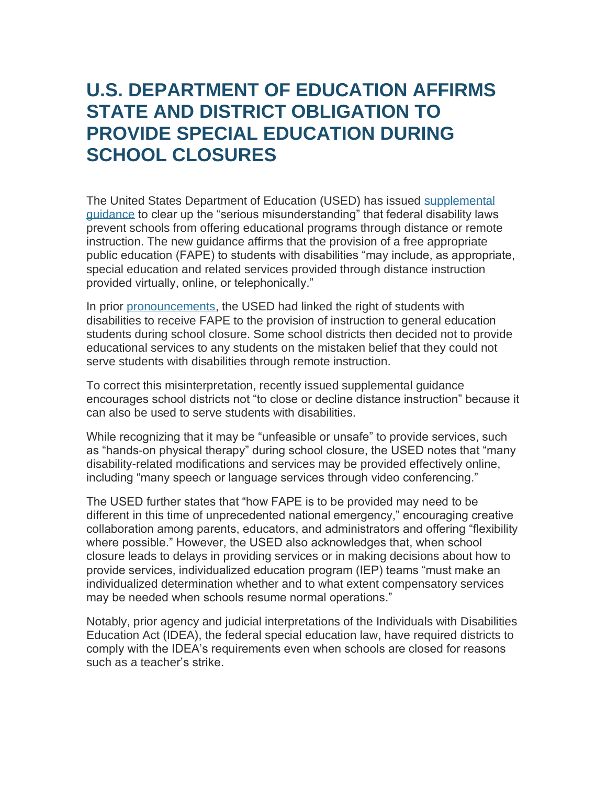## **U.S. DEPARTMENT OF EDUCATION AFFIRMS STATE AND DISTRICT OBLIGATION TO PROVIDE SPECIAL EDUCATION DURING SCHOOL CLOSURES**

The United States Department of Education (USED) has issued [supplemental](http://r20.rs6.net/tn.jsp?f=001IutKoPNfdsjUg_ni95hv6Z0HV86lNoTmUzRTSIzP82D6TLVZok9Acis9rjxN21MoN1WJiCD5dn46zMhWMVXESB-ERz9UTyySV2OGrPm2tk6mp-tASv-84-YJ8dBczV8PJvKcpjykNQXA_9fHVI_SIMOHMxwoE7jNvNgo1_iim5fGSTaYx8e4TZvMX8k8kKsMx_76BQQdohiqrHfmzXpwtsEXiH6m1rypes12jzny8Eg=&c=SDfw_VtZ707OUGsXVvVHnmk2ZuQXf5WKldIA76pAg-fJjfQFRgxH1g==&ch=6VAxDnFxQkcSFpOa_5VfCxC7Iwh-nsIG7Rm60Ct--Jzrzw8_tSewrA==)  [guidance](http://r20.rs6.net/tn.jsp?f=001IutKoPNfdsjUg_ni95hv6Z0HV86lNoTmUzRTSIzP82D6TLVZok9Acis9rjxN21MoN1WJiCD5dn46zMhWMVXESB-ERz9UTyySV2OGrPm2tk6mp-tASv-84-YJ8dBczV8PJvKcpjykNQXA_9fHVI_SIMOHMxwoE7jNvNgo1_iim5fGSTaYx8e4TZvMX8k8kKsMx_76BQQdohiqrHfmzXpwtsEXiH6m1rypes12jzny8Eg=&c=SDfw_VtZ707OUGsXVvVHnmk2ZuQXf5WKldIA76pAg-fJjfQFRgxH1g==&ch=6VAxDnFxQkcSFpOa_5VfCxC7Iwh-nsIG7Rm60Ct--Jzrzw8_tSewrA==) to clear up the "serious misunderstanding" that federal disability laws prevent schools from offering educational programs through distance or remote instruction. The new guidance affirms that the provision of a free appropriate public education (FAPE) to students with disabilities "may include, as appropriate, special education and related services provided through distance instruction provided virtually, online, or telephonically."

In prior [pronouncements,](http://r20.rs6.net/tn.jsp?f=001IutKoPNfdsjUg_ni95hv6Z0HV86lNoTmUzRTSIzP82D6TLVZok9Acis9rjxN21Mos6G783IF2Ff_CBz7hXShs1vPsMaiJ2nFeQ5SrshQEkT4fRHpA6SjBsoaIRUkyAmUduYemRL28csbAJp1qonjikRT6wf291nF_f9jE3WSVUM_MosKR1Oqvn7Tnbj_4aAFcTXa74s-W9NMcfv7nvjJf6BB3Ef12hDvcU98Xd_bnIk=&c=SDfw_VtZ707OUGsXVvVHnmk2ZuQXf5WKldIA76pAg-fJjfQFRgxH1g==&ch=6VAxDnFxQkcSFpOa_5VfCxC7Iwh-nsIG7Rm60Ct--Jzrzw8_tSewrA==) the USED had linked the right of students with disabilities to receive FAPE to the provision of instruction to general education students during school closure. Some school districts then decided not to provide educational services to any students on the mistaken belief that they could not serve students with disabilities through remote instruction.

To correct this misinterpretation, recently issued supplemental guidance encourages school districts not "to close or decline distance instruction" because it can also be used to serve students with disabilities.

While recognizing that it may be "unfeasible or unsafe" to provide services, such as "hands-on physical therapy" during school closure, the USED notes that "many disability-related modifications and services may be provided effectively online, including "many speech or language services through video conferencing."

The USED further states that "how FAPE is to be provided may need to be different in this time of unprecedented national emergency," encouraging creative collaboration among parents, educators, and administrators and offering "flexibility where possible." However, the USED also acknowledges that, when school closure leads to delays in providing services or in making decisions about how to provide services, individualized education program (IEP) teams "must make an individualized determination whether and to what extent compensatory services may be needed when schools resume normal operations."

Notably, prior agency and judicial interpretations of the Individuals with Disabilities Education Act (IDEA), the federal special education law, have required districts to comply with the IDEA's requirements even when schools are closed for reasons such as a teacher's strike.